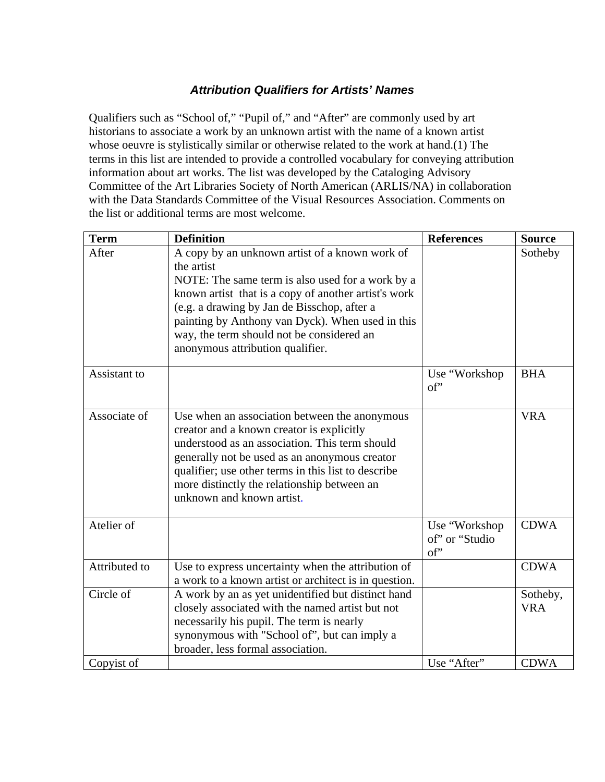## *Attribution Qualifiers for Artists' Names*

Qualifiers such as "School of," "Pupil of," and "After" are commonly used by art historians to associate a work by an unknown artist with the name of a known artist whose oeuvre is stylistically similar or otherwise related to the work at hand.(1) The terms in this list are intended to provide a controlled vocabulary for conveying attribution information about art works. The list was developed by the Cataloging Advisory Committee of the Art Libraries Society of North American (ARLIS/NA) in collaboration with the Data Standards Committee of the Visual Resources Association. Comments on the list or additional terms are most welcome.

| <b>Term</b>   | <b>Definition</b>                                                                                                                                                                                                                                                                                                                                            | <b>References</b>                                 | <b>Source</b>          |
|---------------|--------------------------------------------------------------------------------------------------------------------------------------------------------------------------------------------------------------------------------------------------------------------------------------------------------------------------------------------------------------|---------------------------------------------------|------------------------|
| After         | A copy by an unknown artist of a known work of<br>the artist<br>NOTE: The same term is also used for a work by a<br>known artist that is a copy of another artist's work<br>(e.g. a drawing by Jan de Bisschop, after a<br>painting by Anthony van Dyck). When used in this<br>way, the term should not be considered an<br>anonymous attribution qualifier. |                                                   | Sotheby                |
| Assistant to  |                                                                                                                                                                                                                                                                                                                                                              | Use "Workshop"<br>$\mathrm{of}'$                  | <b>BHA</b>             |
| Associate of  | Use when an association between the anonymous<br>creator and a known creator is explicitly<br>understood as an association. This term should<br>generally not be used as an anonymous creator<br>qualifier; use other terms in this list to describe<br>more distinctly the relationship between an<br>unknown and known artist.                             |                                                   | <b>VRA</b>             |
| Atelier of    |                                                                                                                                                                                                                                                                                                                                                              | Use "Workshop<br>of" or "Studio<br>$\mathrm{of}'$ | <b>CDWA</b>            |
| Attributed to | Use to express uncertainty when the attribution of<br>a work to a known artist or architect is in question.                                                                                                                                                                                                                                                  |                                                   | <b>CDWA</b>            |
| Circle of     | A work by an as yet unidentified but distinct hand<br>closely associated with the named artist but not<br>necessarily his pupil. The term is nearly<br>synonymous with "School of", but can imply a<br>broader, less formal association.                                                                                                                     |                                                   | Sotheby,<br><b>VRA</b> |
| Copyist of    |                                                                                                                                                                                                                                                                                                                                                              | Use "After"                                       | <b>CDWA</b>            |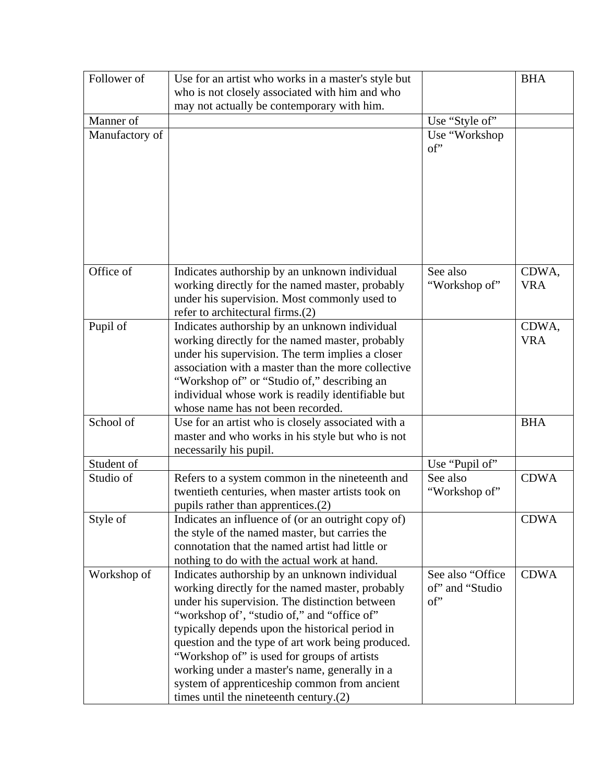| who is not closely associated with him and who<br>may not actually be contemporary with him.<br>Manner of<br>Use "Style of"<br>Manufactory of<br>Use "Workshop<br>of"<br>Office of<br>Indicates authorship by an unknown individual<br>See also<br>CDWA,<br>working directly for the named master, probably<br><b>VRA</b><br>"Workshop of"<br>under his supervision. Most commonly used to<br>refer to architectural firms.(2)<br>Pupil of<br>Indicates authorship by an unknown individual<br>CDWA,<br>working directly for the named master, probably<br><b>VRA</b><br>under his supervision. The term implies a closer<br>association with a master than the more collective<br>"Workshop of" or "Studio of," describing an<br>individual whose work is readily identifiable but<br>whose name has not been recorded.<br>School of<br>Use for an artist who is closely associated with a<br><b>BHA</b><br>master and who works in his style but who is not<br>necessarily his pupil.<br>Student of<br>Use "Pupil of"<br>Studio of<br><b>CDWA</b><br>Refers to a system common in the nineteenth and<br>See also<br>twentieth centuries, when master artists took on<br>"Workshop of"<br>pupils rather than apprentices.(2)<br><b>CDWA</b><br>Style of<br>Indicates an influence of (or an outright copy of)<br>the style of the named master, but carries the<br>connotation that the named artist had little or<br>nothing to do with the actual work at hand.<br>See also "Office<br><b>CDWA</b><br>Workshop of<br>Indicates authorship by an unknown individual<br>of" and "Studio"<br>working directly for the named master, probably<br>of"<br>under his supervision. The distinction between<br>"workshop of", "studio of," and "office of"<br>typically depends upon the historical period in<br>question and the type of art work being produced.<br>"Workshop of" is used for groups of artists |             |                                                     |            |
|-------------------------------------------------------------------------------------------------------------------------------------------------------------------------------------------------------------------------------------------------------------------------------------------------------------------------------------------------------------------------------------------------------------------------------------------------------------------------------------------------------------------------------------------------------------------------------------------------------------------------------------------------------------------------------------------------------------------------------------------------------------------------------------------------------------------------------------------------------------------------------------------------------------------------------------------------------------------------------------------------------------------------------------------------------------------------------------------------------------------------------------------------------------------------------------------------------------------------------------------------------------------------------------------------------------------------------------------------------------------------------------------------------------------------------------------------------------------------------------------------------------------------------------------------------------------------------------------------------------------------------------------------------------------------------------------------------------------------------------------------------------------------------------------------------------------------------------------------------------------------------------------------------------|-------------|-----------------------------------------------------|------------|
|                                                                                                                                                                                                                                                                                                                                                                                                                                                                                                                                                                                                                                                                                                                                                                                                                                                                                                                                                                                                                                                                                                                                                                                                                                                                                                                                                                                                                                                                                                                                                                                                                                                                                                                                                                                                                                                                                                             | Follower of | Use for an artist who works in a master's style but | <b>BHA</b> |
|                                                                                                                                                                                                                                                                                                                                                                                                                                                                                                                                                                                                                                                                                                                                                                                                                                                                                                                                                                                                                                                                                                                                                                                                                                                                                                                                                                                                                                                                                                                                                                                                                                                                                                                                                                                                                                                                                                             |             |                                                     |            |
|                                                                                                                                                                                                                                                                                                                                                                                                                                                                                                                                                                                                                                                                                                                                                                                                                                                                                                                                                                                                                                                                                                                                                                                                                                                                                                                                                                                                                                                                                                                                                                                                                                                                                                                                                                                                                                                                                                             |             |                                                     |            |
|                                                                                                                                                                                                                                                                                                                                                                                                                                                                                                                                                                                                                                                                                                                                                                                                                                                                                                                                                                                                                                                                                                                                                                                                                                                                                                                                                                                                                                                                                                                                                                                                                                                                                                                                                                                                                                                                                                             |             |                                                     |            |
|                                                                                                                                                                                                                                                                                                                                                                                                                                                                                                                                                                                                                                                                                                                                                                                                                                                                                                                                                                                                                                                                                                                                                                                                                                                                                                                                                                                                                                                                                                                                                                                                                                                                                                                                                                                                                                                                                                             |             |                                                     |            |
|                                                                                                                                                                                                                                                                                                                                                                                                                                                                                                                                                                                                                                                                                                                                                                                                                                                                                                                                                                                                                                                                                                                                                                                                                                                                                                                                                                                                                                                                                                                                                                                                                                                                                                                                                                                                                                                                                                             |             |                                                     |            |
|                                                                                                                                                                                                                                                                                                                                                                                                                                                                                                                                                                                                                                                                                                                                                                                                                                                                                                                                                                                                                                                                                                                                                                                                                                                                                                                                                                                                                                                                                                                                                                                                                                                                                                                                                                                                                                                                                                             |             |                                                     |            |
|                                                                                                                                                                                                                                                                                                                                                                                                                                                                                                                                                                                                                                                                                                                                                                                                                                                                                                                                                                                                                                                                                                                                                                                                                                                                                                                                                                                                                                                                                                                                                                                                                                                                                                                                                                                                                                                                                                             |             |                                                     |            |
|                                                                                                                                                                                                                                                                                                                                                                                                                                                                                                                                                                                                                                                                                                                                                                                                                                                                                                                                                                                                                                                                                                                                                                                                                                                                                                                                                                                                                                                                                                                                                                                                                                                                                                                                                                                                                                                                                                             |             |                                                     |            |
|                                                                                                                                                                                                                                                                                                                                                                                                                                                                                                                                                                                                                                                                                                                                                                                                                                                                                                                                                                                                                                                                                                                                                                                                                                                                                                                                                                                                                                                                                                                                                                                                                                                                                                                                                                                                                                                                                                             |             |                                                     |            |
|                                                                                                                                                                                                                                                                                                                                                                                                                                                                                                                                                                                                                                                                                                                                                                                                                                                                                                                                                                                                                                                                                                                                                                                                                                                                                                                                                                                                                                                                                                                                                                                                                                                                                                                                                                                                                                                                                                             |             |                                                     |            |
|                                                                                                                                                                                                                                                                                                                                                                                                                                                                                                                                                                                                                                                                                                                                                                                                                                                                                                                                                                                                                                                                                                                                                                                                                                                                                                                                                                                                                                                                                                                                                                                                                                                                                                                                                                                                                                                                                                             |             |                                                     |            |
|                                                                                                                                                                                                                                                                                                                                                                                                                                                                                                                                                                                                                                                                                                                                                                                                                                                                                                                                                                                                                                                                                                                                                                                                                                                                                                                                                                                                                                                                                                                                                                                                                                                                                                                                                                                                                                                                                                             |             |                                                     |            |
|                                                                                                                                                                                                                                                                                                                                                                                                                                                                                                                                                                                                                                                                                                                                                                                                                                                                                                                                                                                                                                                                                                                                                                                                                                                                                                                                                                                                                                                                                                                                                                                                                                                                                                                                                                                                                                                                                                             |             |                                                     |            |
|                                                                                                                                                                                                                                                                                                                                                                                                                                                                                                                                                                                                                                                                                                                                                                                                                                                                                                                                                                                                                                                                                                                                                                                                                                                                                                                                                                                                                                                                                                                                                                                                                                                                                                                                                                                                                                                                                                             |             |                                                     |            |
|                                                                                                                                                                                                                                                                                                                                                                                                                                                                                                                                                                                                                                                                                                                                                                                                                                                                                                                                                                                                                                                                                                                                                                                                                                                                                                                                                                                                                                                                                                                                                                                                                                                                                                                                                                                                                                                                                                             |             |                                                     |            |
|                                                                                                                                                                                                                                                                                                                                                                                                                                                                                                                                                                                                                                                                                                                                                                                                                                                                                                                                                                                                                                                                                                                                                                                                                                                                                                                                                                                                                                                                                                                                                                                                                                                                                                                                                                                                                                                                                                             |             |                                                     |            |
|                                                                                                                                                                                                                                                                                                                                                                                                                                                                                                                                                                                                                                                                                                                                                                                                                                                                                                                                                                                                                                                                                                                                                                                                                                                                                                                                                                                                                                                                                                                                                                                                                                                                                                                                                                                                                                                                                                             |             |                                                     |            |
|                                                                                                                                                                                                                                                                                                                                                                                                                                                                                                                                                                                                                                                                                                                                                                                                                                                                                                                                                                                                                                                                                                                                                                                                                                                                                                                                                                                                                                                                                                                                                                                                                                                                                                                                                                                                                                                                                                             |             |                                                     |            |
|                                                                                                                                                                                                                                                                                                                                                                                                                                                                                                                                                                                                                                                                                                                                                                                                                                                                                                                                                                                                                                                                                                                                                                                                                                                                                                                                                                                                                                                                                                                                                                                                                                                                                                                                                                                                                                                                                                             |             |                                                     |            |
|                                                                                                                                                                                                                                                                                                                                                                                                                                                                                                                                                                                                                                                                                                                                                                                                                                                                                                                                                                                                                                                                                                                                                                                                                                                                                                                                                                                                                                                                                                                                                                                                                                                                                                                                                                                                                                                                                                             |             |                                                     |            |
|                                                                                                                                                                                                                                                                                                                                                                                                                                                                                                                                                                                                                                                                                                                                                                                                                                                                                                                                                                                                                                                                                                                                                                                                                                                                                                                                                                                                                                                                                                                                                                                                                                                                                                                                                                                                                                                                                                             |             |                                                     |            |
|                                                                                                                                                                                                                                                                                                                                                                                                                                                                                                                                                                                                                                                                                                                                                                                                                                                                                                                                                                                                                                                                                                                                                                                                                                                                                                                                                                                                                                                                                                                                                                                                                                                                                                                                                                                                                                                                                                             |             |                                                     |            |
|                                                                                                                                                                                                                                                                                                                                                                                                                                                                                                                                                                                                                                                                                                                                                                                                                                                                                                                                                                                                                                                                                                                                                                                                                                                                                                                                                                                                                                                                                                                                                                                                                                                                                                                                                                                                                                                                                                             |             |                                                     |            |
|                                                                                                                                                                                                                                                                                                                                                                                                                                                                                                                                                                                                                                                                                                                                                                                                                                                                                                                                                                                                                                                                                                                                                                                                                                                                                                                                                                                                                                                                                                                                                                                                                                                                                                                                                                                                                                                                                                             |             |                                                     |            |
|                                                                                                                                                                                                                                                                                                                                                                                                                                                                                                                                                                                                                                                                                                                                                                                                                                                                                                                                                                                                                                                                                                                                                                                                                                                                                                                                                                                                                                                                                                                                                                                                                                                                                                                                                                                                                                                                                                             |             |                                                     |            |
|                                                                                                                                                                                                                                                                                                                                                                                                                                                                                                                                                                                                                                                                                                                                                                                                                                                                                                                                                                                                                                                                                                                                                                                                                                                                                                                                                                                                                                                                                                                                                                                                                                                                                                                                                                                                                                                                                                             |             |                                                     |            |
|                                                                                                                                                                                                                                                                                                                                                                                                                                                                                                                                                                                                                                                                                                                                                                                                                                                                                                                                                                                                                                                                                                                                                                                                                                                                                                                                                                                                                                                                                                                                                                                                                                                                                                                                                                                                                                                                                                             |             |                                                     |            |
|                                                                                                                                                                                                                                                                                                                                                                                                                                                                                                                                                                                                                                                                                                                                                                                                                                                                                                                                                                                                                                                                                                                                                                                                                                                                                                                                                                                                                                                                                                                                                                                                                                                                                                                                                                                                                                                                                                             |             |                                                     |            |
|                                                                                                                                                                                                                                                                                                                                                                                                                                                                                                                                                                                                                                                                                                                                                                                                                                                                                                                                                                                                                                                                                                                                                                                                                                                                                                                                                                                                                                                                                                                                                                                                                                                                                                                                                                                                                                                                                                             |             |                                                     |            |
|                                                                                                                                                                                                                                                                                                                                                                                                                                                                                                                                                                                                                                                                                                                                                                                                                                                                                                                                                                                                                                                                                                                                                                                                                                                                                                                                                                                                                                                                                                                                                                                                                                                                                                                                                                                                                                                                                                             |             |                                                     |            |
|                                                                                                                                                                                                                                                                                                                                                                                                                                                                                                                                                                                                                                                                                                                                                                                                                                                                                                                                                                                                                                                                                                                                                                                                                                                                                                                                                                                                                                                                                                                                                                                                                                                                                                                                                                                                                                                                                                             |             |                                                     |            |
|                                                                                                                                                                                                                                                                                                                                                                                                                                                                                                                                                                                                                                                                                                                                                                                                                                                                                                                                                                                                                                                                                                                                                                                                                                                                                                                                                                                                                                                                                                                                                                                                                                                                                                                                                                                                                                                                                                             |             |                                                     |            |
|                                                                                                                                                                                                                                                                                                                                                                                                                                                                                                                                                                                                                                                                                                                                                                                                                                                                                                                                                                                                                                                                                                                                                                                                                                                                                                                                                                                                                                                                                                                                                                                                                                                                                                                                                                                                                                                                                                             |             |                                                     |            |
|                                                                                                                                                                                                                                                                                                                                                                                                                                                                                                                                                                                                                                                                                                                                                                                                                                                                                                                                                                                                                                                                                                                                                                                                                                                                                                                                                                                                                                                                                                                                                                                                                                                                                                                                                                                                                                                                                                             |             |                                                     |            |
|                                                                                                                                                                                                                                                                                                                                                                                                                                                                                                                                                                                                                                                                                                                                                                                                                                                                                                                                                                                                                                                                                                                                                                                                                                                                                                                                                                                                                                                                                                                                                                                                                                                                                                                                                                                                                                                                                                             |             |                                                     |            |
|                                                                                                                                                                                                                                                                                                                                                                                                                                                                                                                                                                                                                                                                                                                                                                                                                                                                                                                                                                                                                                                                                                                                                                                                                                                                                                                                                                                                                                                                                                                                                                                                                                                                                                                                                                                                                                                                                                             |             |                                                     |            |
|                                                                                                                                                                                                                                                                                                                                                                                                                                                                                                                                                                                                                                                                                                                                                                                                                                                                                                                                                                                                                                                                                                                                                                                                                                                                                                                                                                                                                                                                                                                                                                                                                                                                                                                                                                                                                                                                                                             |             |                                                     |            |
|                                                                                                                                                                                                                                                                                                                                                                                                                                                                                                                                                                                                                                                                                                                                                                                                                                                                                                                                                                                                                                                                                                                                                                                                                                                                                                                                                                                                                                                                                                                                                                                                                                                                                                                                                                                                                                                                                                             |             |                                                     |            |
|                                                                                                                                                                                                                                                                                                                                                                                                                                                                                                                                                                                                                                                                                                                                                                                                                                                                                                                                                                                                                                                                                                                                                                                                                                                                                                                                                                                                                                                                                                                                                                                                                                                                                                                                                                                                                                                                                                             |             |                                                     |            |
|                                                                                                                                                                                                                                                                                                                                                                                                                                                                                                                                                                                                                                                                                                                                                                                                                                                                                                                                                                                                                                                                                                                                                                                                                                                                                                                                                                                                                                                                                                                                                                                                                                                                                                                                                                                                                                                                                                             |             |                                                     |            |
|                                                                                                                                                                                                                                                                                                                                                                                                                                                                                                                                                                                                                                                                                                                                                                                                                                                                                                                                                                                                                                                                                                                                                                                                                                                                                                                                                                                                                                                                                                                                                                                                                                                                                                                                                                                                                                                                                                             |             |                                                     |            |
|                                                                                                                                                                                                                                                                                                                                                                                                                                                                                                                                                                                                                                                                                                                                                                                                                                                                                                                                                                                                                                                                                                                                                                                                                                                                                                                                                                                                                                                                                                                                                                                                                                                                                                                                                                                                                                                                                                             |             |                                                     |            |
|                                                                                                                                                                                                                                                                                                                                                                                                                                                                                                                                                                                                                                                                                                                                                                                                                                                                                                                                                                                                                                                                                                                                                                                                                                                                                                                                                                                                                                                                                                                                                                                                                                                                                                                                                                                                                                                                                                             |             |                                                     |            |
|                                                                                                                                                                                                                                                                                                                                                                                                                                                                                                                                                                                                                                                                                                                                                                                                                                                                                                                                                                                                                                                                                                                                                                                                                                                                                                                                                                                                                                                                                                                                                                                                                                                                                                                                                                                                                                                                                                             |             |                                                     |            |
|                                                                                                                                                                                                                                                                                                                                                                                                                                                                                                                                                                                                                                                                                                                                                                                                                                                                                                                                                                                                                                                                                                                                                                                                                                                                                                                                                                                                                                                                                                                                                                                                                                                                                                                                                                                                                                                                                                             |             |                                                     |            |
|                                                                                                                                                                                                                                                                                                                                                                                                                                                                                                                                                                                                                                                                                                                                                                                                                                                                                                                                                                                                                                                                                                                                                                                                                                                                                                                                                                                                                                                                                                                                                                                                                                                                                                                                                                                                                                                                                                             |             |                                                     |            |
|                                                                                                                                                                                                                                                                                                                                                                                                                                                                                                                                                                                                                                                                                                                                                                                                                                                                                                                                                                                                                                                                                                                                                                                                                                                                                                                                                                                                                                                                                                                                                                                                                                                                                                                                                                                                                                                                                                             |             |                                                     |            |
| working under a master's name, generally in a                                                                                                                                                                                                                                                                                                                                                                                                                                                                                                                                                                                                                                                                                                                                                                                                                                                                                                                                                                                                                                                                                                                                                                                                                                                                                                                                                                                                                                                                                                                                                                                                                                                                                                                                                                                                                                                               |             |                                                     |            |
| system of apprenticeship common from ancient                                                                                                                                                                                                                                                                                                                                                                                                                                                                                                                                                                                                                                                                                                                                                                                                                                                                                                                                                                                                                                                                                                                                                                                                                                                                                                                                                                                                                                                                                                                                                                                                                                                                                                                                                                                                                                                                |             |                                                     |            |
| times until the nineteenth century.(2)                                                                                                                                                                                                                                                                                                                                                                                                                                                                                                                                                                                                                                                                                                                                                                                                                                                                                                                                                                                                                                                                                                                                                                                                                                                                                                                                                                                                                                                                                                                                                                                                                                                                                                                                                                                                                                                                      |             |                                                     |            |